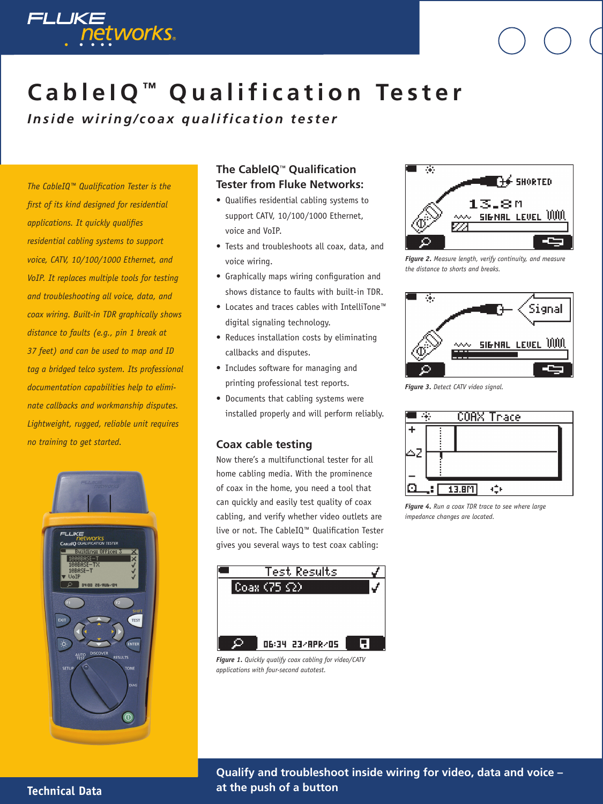

# **C a b l e I Q ™ Q u a l i f i c a t i o n Te s t e r**

*Inside wiring/coax qualification tester* 

*The CableIQ™ Qualification Tester is the first of its kind designed for residential applications. It quickly qualifies residential cabling systems to support voice, CATV, 10/100/1000 Ethernet, and VoIP. It replaces multiple tools for testing and troubleshooting all voice, data, and coax wiring. Built-in TDR graphically shows distance to faults (e.g., pin 1 break at 37 feet) and can be used to map and ID tag a bridged telco system. Its professional documentation capabilities help to eliminate callbacks and workmanship disputes. Lightweight, rugged, reliable unit requires no training to get started.* 



## **The CableIQ**™ **Qualification Tester from Fluke Networks:**

- Qualifies residential cabling systems to support CATV, 10/100/1000 Ethernet, voice and VoIP.
- Tests and troubleshoots all coax, data, and voice wiring.
- Graphically maps wiring configuration and shows distance to faults with built-in TDR.
- Locates and traces cables with IntelliTone™ digital signaling technology.
- Reduces installation costs by eliminating callbacks and disputes.
- Includes software for managing and printing professional test reports.
- Documents that cabling systems were installed properly and will perform reliably.

#### **Coax cable testing**

Now there's a multifunctional tester for all home cabling media. With the prominence of coax in the home, you need a tool that can quickly and easily test quality of coax cabling, and verify whether video outlets are live or not. The CableIQ™ Qualification Tester gives you several ways to test coax cabling:



*Figure 1. Quickly qualify coax cabling for video/CATV applications with four-second autotest.*



*Figure 2. Measure length, verify continuity, and measure the distance to shorts and breaks.* 



*Figure 3. Detect CATV video signal.* 



*Figure 4. Run a coax TDR trace to see where large impedance changes are located.* 

### **Technical Data**